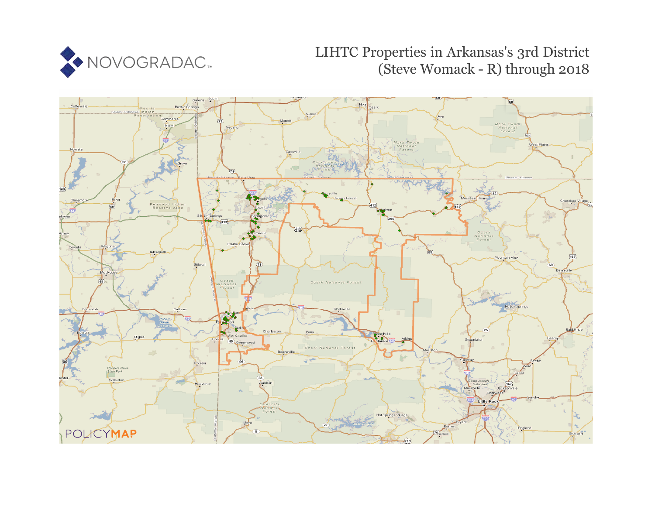

# LIHTC Properties in Arkansas's 3rd District (Steve Womack - R) through 2018

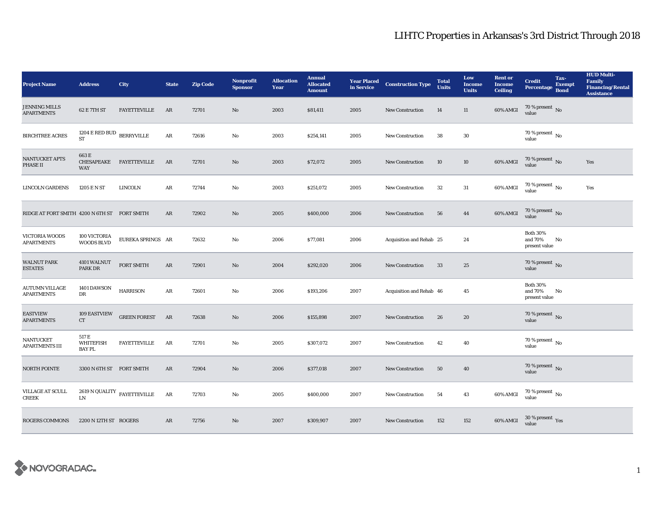| <b>Project Name</b>                          | <b>Address</b>                                | City                             | <b>State</b> | <b>Zip Code</b> | <b>Nonprofit</b><br><b>Sponsor</b> | <b>Allocation</b><br>Year | <b>Annual</b><br><b>Allocated</b><br><b>Amount</b> | in Service | <b>Year Placed Construction Type</b> | <b>Total</b><br><b>Units</b> | Low<br><b>Income</b><br><b>Units</b> | <b>Rent or</b><br><b>Income</b><br><b>Ceiling</b> | <b>Credit</b><br><b>Percentage</b>          | Tax-<br><b>Exempt</b><br><b>Bond</b> | <b>HUD Multi-</b><br><b>Family</b><br><b>Financing/Rental</b><br><b>Assistance</b> |
|----------------------------------------------|-----------------------------------------------|----------------------------------|--------------|-----------------|------------------------------------|---------------------------|----------------------------------------------------|------------|--------------------------------------|------------------------------|--------------------------------------|---------------------------------------------------|---------------------------------------------|--------------------------------------|------------------------------------------------------------------------------------|
| <b>JENNING MILLS</b><br><b>APARTMENTS</b>    | 62 E 7TH ST                                   | <b>FAYETTEVILLE</b>              | AR           | 72701           | $\mathbf{N}\mathbf{o}$             | 2003                      | \$81,411                                           | 2005       | <b>New Construction</b>              | 14                           | 11                                   | 60% AMGI                                          | 70 % present $\,$ No $\,$<br>value          |                                      |                                                                                    |
| <b>BIRCHTREE ACRES</b>                       | $1204$ E RED BUD $\,$ BERRYVILLE<br><b>ST</b> |                                  | $\rm{AR}$    | 72616           | $\mathbf{N}\mathbf{o}$             | 2003                      | \$254,141                                          | 2005       | <b>New Construction</b>              | 38                           | 30                                   |                                                   | $70$ % present $\,$ No $\,$<br>value        |                                      |                                                                                    |
| NANTUCKET APTS<br><b>PHASE II</b>            | 663 E<br>CHESAPEAKE<br><b>WAY</b>             | FAYETTEVILLE                     | AR           | 72701           | $\mathbf{N}\mathbf{o}$             | 2003                      | \$72,072                                           | 2005       | <b>New Construction</b>              | 10                           | 10                                   | 60% AMGI                                          | $70$ % present $\,$ No value                |                                      | Yes                                                                                |
| <b>LINCOLN GARDENS</b>                       | 1205 E N ST                                   | <b>LINCOLN</b>                   | AR           | 72744           | No                                 | 2003                      | \$251,072                                          | 2005       | New Construction                     | $32\,$                       | $31\,$                               | 60% AMGI                                          | 70 % present $\,$ No $\,$<br>value          |                                      | Yes                                                                                |
| RIDGE AT FORT SMITH 4200 N 6TH ST FORT SMITH |                                               |                                  | AR           | 72902           | No                                 | 2005                      | \$400,000                                          | 2006       | <b>New Construction</b>              | 56                           | 44                                   | 60% AMGI                                          | 70 % present $\,$ No $\,$<br>value          |                                      |                                                                                    |
| <b>VICTORIA WOODS</b><br><b>APARTMENTS</b>   | 100 VICTORIA<br><b>WOODS BLVD</b>             | EUREKA SPRINGS AR                |              | 72632           | No                                 | 2006                      | \$77,081                                           | 2006       | Acquisition and Rehab 25             |                              | 24                                   |                                                   | <b>Both 30%</b><br>and 70%<br>present value | No                                   |                                                                                    |
| <b>WALNUT PARK</b><br><b>ESTATES</b>         | 4101 WALNUT<br><b>PARK DR</b>                 | FORT SMITH                       | ${\bf AR}$   | 72901           | $\mathbf{N}\mathbf{o}$             | 2004                      | \$292,020                                          | 2006       | <b>New Construction</b>              | 33                           | 25                                   |                                                   | $70$ % present $\,$ No value                |                                      |                                                                                    |
| <b>AUTUMN VILLAGE</b><br><b>APARTMENTS</b>   | 1401 DAWSON<br>DR                             | <b>HARRISON</b>                  | AR           | 72601           | No                                 | 2006                      | \$193,206                                          | 2007       | Acquisition and Rehab 46             |                              | 45                                   |                                                   | <b>Both 30%</b><br>and 70%<br>present value | No                                   |                                                                                    |
| <b>EASTVIEW</b><br><b>APARTMENTS</b>         | <b>109 EASTVIEW</b><br>CT                     | <b>GREEN FOREST</b>              | AR           | 72638           | $\rm No$                           | 2006                      | \$155,898                                          | 2007       | <b>New Construction</b>              | 26                           | ${\bf 20}$                           |                                                   | $70\,\%$ present $\,$ No value              |                                      |                                                                                    |
| <b>NANTUCKET</b><br><b>APARTMENTS III</b>    | 517 E<br><b>WHITEFISH</b><br><b>BAY PL</b>    | <b>FAYETTEVILLE</b>              | AR           | 72701           | No                                 | 2005                      | \$307,072                                          | 2007       | New Construction                     | 42                           | 40                                   |                                                   | $70\,\%$ present $\,$ No value              |                                      |                                                                                    |
| <b>NORTH POINTE</b>                          | 3300 N 6TH ST FORT SMITH                      |                                  | AR           | 72904           | No                                 | 2006                      | \$377,018                                          | 2007       | <b>New Construction</b>              | 50                           | 40                                   |                                                   | $70\,\%$ present $\,$ No value              |                                      |                                                                                    |
| VILLAGE AT SCULL<br><b>CREEK</b>             | LN                                            | 2619 N QUALITY $\,$ FAYETTEVILLE | AR           | 72703           | $\mathbf{No}$                      | 2005                      | \$400,000                                          | 2007       | New Construction                     | 54                           | 43                                   | 60% AMGI                                          | 70 % present $\,$ No $\,$<br>value          |                                      |                                                                                    |
| <b>ROGERS COMMONS</b>                        | 2200 N 12TH ST ROGERS                         |                                  | AR           | 72756           | No                                 | 2007                      | \$309,907                                          | 2007       | <b>New Construction</b>              | 152                          | 152                                  | 60% AMGI                                          | $30\,\%$ present $\,$ Yes value             |                                      |                                                                                    |

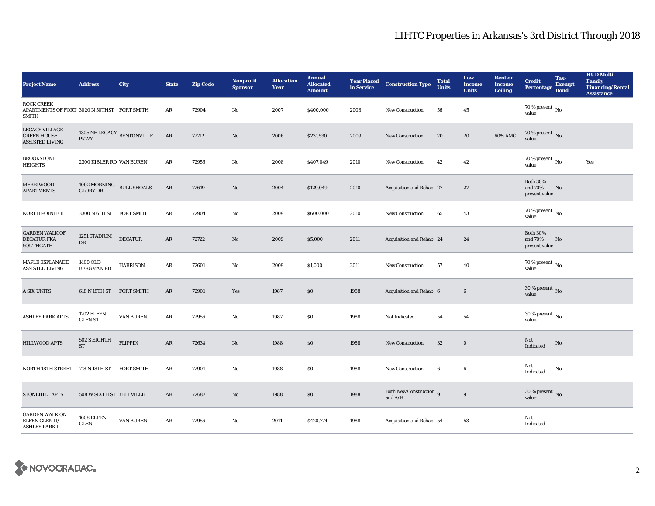| <b>Project Name</b>                                                              | <b>Address</b>                                     | City              | <b>State</b>  | <b>Zip Code</b> | <b>Nonprofit</b><br><b>Sponsor</b> | <b>Allocation</b><br>Year | <b>Annual</b><br><b>Allocated</b><br><b>Amount</b> | in Service | <b>Year Placed Construction Type</b> | <b>Total</b><br><b>Units</b> | Low<br><b>Income</b><br><b>Units</b> | <b>Rent or</b><br><b>Income</b><br><b>Ceiling</b> | <b>Credit</b><br><b>Percentage</b>          | Tax-<br><b>Exempt</b><br><b>Bond</b> | <b>HUD Multi-</b><br><b>Family</b><br><b>Financing/Rental</b><br><b>Assistance</b> |
|----------------------------------------------------------------------------------|----------------------------------------------------|-------------------|---------------|-----------------|------------------------------------|---------------------------|----------------------------------------------------|------------|--------------------------------------|------------------------------|--------------------------------------|---------------------------------------------------|---------------------------------------------|--------------------------------------|------------------------------------------------------------------------------------|
| <b>ROCK CREEK</b><br>APARTMENTS OF FORT 3020 N 50THST FORT SMITH<br><b>SMITH</b> |                                                    |                   | AR            | 72904           | No                                 | 2007                      | \$400,000                                          | 2008       | New Construction                     | 56                           | 45                                   |                                                   | 70 % present $\,$ No $\,$<br>value          |                                      |                                                                                    |
| <b>LEGACY VILLAGE</b><br><b>GREEN HOUSE</b><br><b>ASSISTED LIVING</b>            | 1305 NE LEGACY $_{\rm BENTONVILLE}$<br><b>PKWY</b> |                   | $\rm{AR}$     | 72712           | $\mathbf{N}\mathbf{o}$             | 2006                      | \$231,530                                          | 2009       | <b>New Construction</b>              | ${\bf 20}$                   | ${\bf 20}$                           | 60% AMGI                                          | $70$ % present $\,$ No value                |                                      |                                                                                    |
| <b>BROOKSTONE</b><br><b>HEIGHTS</b>                                              | 2300 KIBLER RD VAN BUREN                           |                   | ${\bf AR}$    | 72956           | No                                 | 2008                      | \$407,049                                          | 2010       | <b>New Construction</b>              | 42                           | 42                                   |                                                   | 70 % present $\,$ No $\,$<br>value          |                                      | Yes                                                                                |
| <b>MERRIWOOD</b><br><b>APARTMENTS</b>                                            | 1002 MORNING BULL SHOALS<br><b>GLORY DR</b>        |                   | $\rm{AR}$     | 72619           | No                                 | 2004                      | \$129,049                                          | 2010       | Acquisition and Rehab 27             |                              | 27                                   |                                                   | <b>Both 30%</b><br>and 70%<br>present value | No                                   |                                                                                    |
| NORTH POINTE II                                                                  | 3300 N 6TH ST FORT SMITH                           |                   | $\rm{AR}$     | 72904           | No                                 | 2009                      | \$600,000                                          | 2010       | New Construction                     | 65                           | 43                                   |                                                   | 70 % present $\hbox{~No}$<br>value          |                                      |                                                                                    |
| <b>GARDEN WALK OF</b><br><b>DECATUR FKA</b><br>SOUTHGATE                         | 1251 STADIUM<br>DR                                 | <b>DECATUR</b>    | AR            | 72722           | No                                 | 2009                      | \$5,000                                            | 2011       | Acquisition and Rehab 24             |                              | 24                                   |                                                   | <b>Both 30%</b><br>and 70%<br>present value | No                                   |                                                                                    |
| MAPLE ESPLANADE<br><b>ASSISTED LIVING</b>                                        | 1400 OLD<br><b>BERGMAN RD</b>                      | <b>HARRISON</b>   | AR            | 72601           | No                                 | 2009                      | \$1,000                                            | 2011       | <b>New Construction</b>              | 57                           | 40                                   |                                                   | 70 % present $\,$ No $\,$<br>value          |                                      |                                                                                    |
| <b>A SIX UNITS</b>                                                               | 618 N 18TH ST                                      | <b>FORT SMITH</b> | AR            | 72901           | Yes                                | 1987                      | \$0                                                | 1988       | Acquisition and Rehab 6              |                              | $\bf 6$                              |                                                   | 30 % present $\,$ No $\,$<br>value          |                                      |                                                                                    |
| <b>ASHLEY PARK APTS</b>                                                          | <b>1702 ELFEN</b><br><b>GLEN ST</b>                | <b>VAN BUREN</b>  | AR            | 72956           | No                                 | 1987                      | \$0                                                | 1988       | Not Indicated                        | 54                           | 54                                   |                                                   | $30\,\%$ present $\,$ No $\,$<br>value      |                                      |                                                                                    |
| HILLWOOD APTS                                                                    | 502 S EIGHTH<br>$\operatorname{ST}$                | <b>FLIPPIN</b>    | $\mathbf{AR}$ | 72634           | No                                 | 1988                      | $\$0$                                              | 1988       | <b>New Construction</b>              | $32\,$                       | $\mathbf 0$                          |                                                   | Not<br>Indicated                            | No                                   |                                                                                    |
| NORTH 18TH STREET 718 N 18TH ST                                                  |                                                    | <b>FORT SMITH</b> | AR            | 72901           | No                                 | 1988                      | \$0                                                | 1988       | New Construction                     | 6                            | $\bf{6}$                             |                                                   | Not<br>Indicated                            | No                                   |                                                                                    |
| STONEHILL APTS                                                                   | 508 W SIXTH ST YELLVILLE                           |                   | $\rm{AR}$     | 72687           | No                                 | 1988                      | \$0                                                | 1988       | Both New Construction 9<br>and $A/R$ |                              | $9\,$                                |                                                   | $30$ % present $\,$ No $\,$<br>value        |                                      |                                                                                    |
| <b>GARDEN WALK ON</b><br>ELFEN GLEN II/<br><b>ASHLEY PARK II</b>                 | 1608 ELFEN<br><b>GLEN</b>                          | <b>VAN BUREN</b>  | AR            | 72956           | No                                 | 2011                      | \$420,774                                          | 1988       | Acquisition and Rehab 54             |                              | 53                                   |                                                   | Not<br>Indicated                            |                                      |                                                                                    |

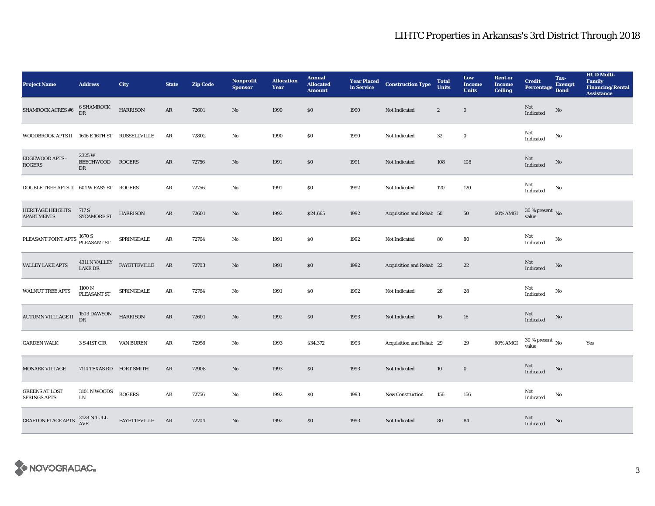| <b>Project Name</b>                           | <b>Address</b>                  | City                | <b>State</b> | <b>Zip Code</b> | <b>Nonprofit</b><br><b>Sponsor</b> | <b>Allocation</b><br>Year | <b>Annual</b><br><b>Allocated</b><br><b>Amount</b> |      | <b>Year Placed Construction Type</b><br>in Service | <b>Total</b><br><b>Units</b> | Low<br><b>Income</b><br><b>Units</b> | <b>Rent or</b><br><b>Income</b><br><b>Ceiling</b> | <b>Credit</b><br><b>Percentage</b> | Tax-<br><b>Exempt</b><br><b>Bond</b> | <b>HUD Multi-</b><br>Family<br><b>Financing/Rental</b><br><b>Assistance</b> |
|-----------------------------------------------|---------------------------------|---------------------|--------------|-----------------|------------------------------------|---------------------------|----------------------------------------------------|------|----------------------------------------------------|------------------------------|--------------------------------------|---------------------------------------------------|------------------------------------|--------------------------------------|-----------------------------------------------------------------------------|
| <b>SHAMROCK ACRES #6</b>                      | <b>6 SHAMROCK</b><br>DR         | <b>HARRISON</b>     | AR           | 72601           | $\mathbf{N}\mathbf{o}$             | 1990                      | \$0                                                | 1990 | Not Indicated                                      | $\boldsymbol{2}$             | $\bf{0}$                             |                                                   | Not<br>Indicated                   | $\rm No$                             |                                                                             |
| WOODBROOK APTS II 1616 E 16TH ST RUSSELLVILLE |                                 |                     | AR           | 72802           | $\mathbf{N}\mathbf{o}$             | 1990                      | \$0                                                | 1990 | Not Indicated                                      | $32\,$                       | $\bf{0}$                             |                                                   | Not<br>Indicated                   | No                                   |                                                                             |
| EDGEWOOD APTS -<br><b>ROGERS</b>              | 2325W<br><b>BEECHWOOD</b><br>DR | <b>ROGERS</b>       | AR           | 72756           | $\mathbf{N}\mathbf{o}$             | 1991                      | \$0                                                | 1991 | Not Indicated                                      | 108                          | 108                                  |                                                   | Not<br>Indicated                   | No                                   |                                                                             |
| DOUBLE TREE APTS II 601 W EASY ST ROGERS      |                                 |                     | AR           | 72756           | $\mathbf{N}\mathbf{o}$             | 1991                      | \$0                                                | 1992 | Not Indicated                                      | 120                          | $120\,$                              |                                                   | Not<br>Indicated                   | No                                   |                                                                             |
| <b>HERITAGE HEIGHTS</b><br><b>APARTMENTS</b>  | 717 S<br><b>SYCAMORE ST</b>     | <b>HARRISON</b>     | AR           | 72601           | No                                 | 1992                      | \$24,665                                           | 1992 | Acquisition and Rehab 50                           |                              | 50                                   | 60% AMGI                                          | $30\,\%$ present $\,$ No value     |                                      |                                                                             |
| PLEASANT POINT APTS 1670 S<br>PLEASANT ST     |                                 | SPRINGDALE          | ${\bf AR}$   | 72764           | $\rm No$                           | 1991                      | \$0                                                | 1992 | Not Indicated                                      | 80                           | 80                                   |                                                   | Not<br>Indicated                   | $\rm No$                             |                                                                             |
| <b>VALLEY LAKE APTS</b>                       | 4311 N VALLEY<br>LAKE DR        | <b>FAYETTEVILLE</b> | AR           | 72703           | $\mathbf{N}\mathbf{o}$             | 1991                      | \$0                                                | 1992 | Acquisition and Rehab 22                           |                              | $\bf{22}$                            |                                                   | Not<br>Indicated                   | No                                   |                                                                             |
| <b>WALNUT TREE APTS</b>                       | 1100 N<br>PLEASANT ST           | SPRINGDALE          | AR           | 72764           | $\mathbf{N}\mathbf{o}$             | 1991                      | \$0                                                | 1992 | Not Indicated                                      | 28                           | 28                                   |                                                   | Not<br>Indicated                   | No                                   |                                                                             |
| AUTUMN VILLLAGE II                            | 1503 DAWSON<br>DR               | <b>HARRISON</b>     | AR           | 72601           | $\mathbf{N}\mathbf{o}$             | 1992                      | \$0                                                | 1993 | Not Indicated                                      | 16                           | 16                                   |                                                   | Not<br>Indicated                   | No                                   |                                                                             |
| <b>GARDEN WALK</b>                            | <b>3 S 41ST CIR</b>             | <b>VAN BUREN</b>    | AR           | 72956           | No                                 | 1993                      | \$34,372                                           | 1993 | Acquisition and Rehab 29                           |                              | 29                                   | 60% AMGI                                          | $30\,\%$ present $\,$ No value     |                                      | Yes                                                                         |
| <b>MONARK VILLAGE</b>                         | 7114 TEXAS RD FORT SMITH        |                     | AR           | 72908           | No                                 | 1993                      | \$0                                                | 1993 | Not Indicated                                      | 10                           | $\bf{0}$                             |                                                   | Not<br>Indicated                   | No                                   |                                                                             |
| <b>GREENS AT LOST</b><br><b>SPRINGS APTS</b>  | 3101 N WOODS<br>LN              | <b>ROGERS</b>       | ${\bf AR}$   | 72756           | $\rm No$                           | 1992                      | \$0                                                | 1993 | New Construction                                   | 156                          | 156                                  |                                                   | Not<br><b>Indicated</b>            | No                                   |                                                                             |
| <b>CRAFTON PLACE APTS</b>                     | 2128 N TULL<br>AVE              | <b>FAYETTEVILLE</b> | AR           | 72704           | No                                 | 1992                      | \$0                                                | 1993 | Not Indicated                                      | 80                           | 84                                   |                                                   | Not<br>Indicated                   | No                                   |                                                                             |

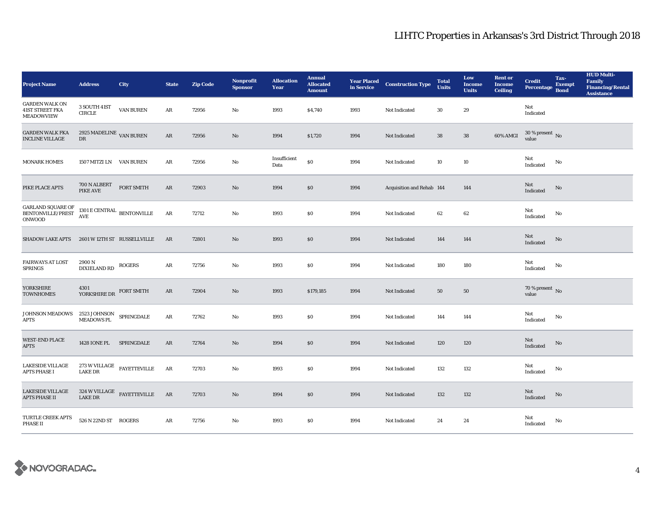| <b>Project Name</b>                                                                                                                                                     | <b>Address</b>                                                          | City                                              | <b>State</b> | <b>Zip Code</b> | <b>Nonprofit</b><br><b>Sponsor</b> | <b>Allocation</b><br>Year | <b>Annual</b><br><b>Allocated</b><br><b>Amount</b> |      | <b>Year Placed Construction Type</b><br>in Service | <b>Total</b><br><b>Units</b> | Low<br><b>Income</b><br><b>Units</b> | <b>Rent or</b><br><b>Income</b><br><b>Ceiling</b> | <b>Credit</b><br><b>Percentage</b>   | Tax-<br><b>Exempt</b><br><b>Bond</b> | <b>HUD Multi-</b><br>Family<br><b>Financing/Rental</b><br><b>Assistance</b> |
|-------------------------------------------------------------------------------------------------------------------------------------------------------------------------|-------------------------------------------------------------------------|---------------------------------------------------|--------------|-----------------|------------------------------------|---------------------------|----------------------------------------------------|------|----------------------------------------------------|------------------------------|--------------------------------------|---------------------------------------------------|--------------------------------------|--------------------------------------|-----------------------------------------------------------------------------|
| <b>GARDEN WALK ON</b><br><b>41ST STREET FKA</b><br><b>MEADOWVIEW</b>                                                                                                    | $3\rm\,SOUTH$ $41\rm{ST}$<br><b>CIRCLE</b>                              | <b>VAN BUREN</b>                                  | AR           | 72956           | $\mathbf{No}$                      | 1993                      | \$4,740                                            | 1993 | Not Indicated                                      | 30                           | 29                                   |                                                   | Not<br>Indicated                     |                                      |                                                                             |
| <b>GARDEN WALK FKA</b><br><b>INCLINE VILLAGE</b>                                                                                                                        | 2925 MADELINE VAN BUREN<br>DR                                           |                                                   | ${\bf AR}$   | 72956           | $\rm No$                           | 1994                      | \$1,720                                            | 1994 | Not Indicated                                      | ${\bf 38}$                   | ${\bf 38}$                           | 60% AMGI                                          | $30$ % present $\,$ No value         |                                      |                                                                             |
| <b>MONARK HOMES</b>                                                                                                                                                     | 1507 MITZI LN VAN BUREN                                                 |                                                   | AR           | 72956           | No                                 | Insufficient<br>Data      | $\$0$                                              | 1994 | Not Indicated                                      | 10                           | 10                                   |                                                   | Not<br>Indicated                     | No                                   |                                                                             |
| PIKE PLACE APTS                                                                                                                                                         | 700 N ALBERT<br>PIKE AVE                                                | <b>FORT SMITH</b>                                 | AR           | 72903           | $\rm No$                           | 1994                      | \$0                                                | 1994 | Acquisition and Rehab 144                          |                              | 144                                  |                                                   | Not<br>Indicated                     | No                                   |                                                                             |
| GARLAND SQUARE OF BENTONVILLE/PREST<br><b>ONWOOD</b>                                                                                                                    | 1301 E CENTRAL $_{\rm BENTONVILLE}$<br>$\mathbf{A}\mathbf{V}\mathbf{E}$ |                                                   | $\rm{AR}$    | 72712           | $\mathbf{N}\mathbf{o}$             | 1993                      | <b>SO</b>                                          | 1994 | Not Indicated                                      | 62                           | 62                                   |                                                   | Not<br>Indicated                     | No                                   |                                                                             |
| <b>SHADOW LAKE APTS</b>                                                                                                                                                 | 2601 W 12TH ST RUSSELLVILLE                                             |                                                   | AR           | 72801           | $\rm No$                           | 1993                      | \$0                                                | 1994 | Not Indicated                                      | 144                          | 144                                  |                                                   | Not<br>Indicated                     | No                                   |                                                                             |
| <b>FAIRWAYS AT LOST</b><br>SPRINGS                                                                                                                                      | 2900 N<br><b>DIXIELAND RD</b>                                           | <b>ROGERS</b>                                     | $\rm{AR}$    | 72756           | No                                 | 1993                      | $\$0$                                              | 1994 | Not Indicated                                      | 180                          | 180                                  |                                                   | Not<br>Indicated                     | No                                   |                                                                             |
| YORKSHIRE<br><b>TOWNHOMES</b>                                                                                                                                           | 4301<br>YORKSHIRE DR                                                    | <b>FORT SMITH</b>                                 | AR           | 72904           | No                                 | 1993                      | \$179,185                                          | 1994 | Not Indicated                                      | 50                           | 50                                   |                                                   | 70 % present $\overline{N}$<br>value |                                      |                                                                             |
| $\begin{tabular}{ll} \textsc{JOHNSON MEADOWS} & \textsc{2523 JOHNSON} & \textsc{SPRINGDALE} \\ \textsc{APTS} & \textsc{MEADOWS PL} & \textsc{SPRINGDALE} \end{tabular}$ |                                                                         |                                                   | AR           | 72762           | No                                 | 1993                      | <b>SO</b>                                          | 1994 | Not Indicated                                      | 144                          | 144                                  |                                                   | Not<br>Indicated                     | No                                   |                                                                             |
| <b>WEST-END PLACE</b><br><b>APTS</b>                                                                                                                                    | 1428 IONE PL SPRINGDALE                                                 |                                                   | AR           | 72764           | No                                 | 1994                      | \$0                                                | 1994 | Not Indicated                                      | 120                          | 120                                  |                                                   | Not<br>Indicated                     | No                                   |                                                                             |
| <b>LAKESIDE VILLAGE</b><br><b>APTS PHASE I</b>                                                                                                                          | <b>LAKE DR</b>                                                          | $273\ \rm{W}\, \rm{VILLAGE}$ $\rm{FAYETTEVILLE}$  | $\rm{AR}$    | 72703           | $\mathbf{N}\mathbf{o}$             | 1993                      | \$0                                                | 1994 | Not Indicated                                      | 132                          | 132                                  |                                                   | Not<br>Indicated                     | No                                   |                                                                             |
| <b>LAKESIDE VILLAGE</b><br><b>APTS PHASE II</b>                                                                                                                         | <b>LAKE DR</b>                                                          | $324\ \rm{W}\, \rm{VILLAGE}$ $\quad$ FAYETTEVILLE | AR           | 72703           | $\rm No$                           | 1994                      | \$0                                                | 1994 | Not Indicated                                      | 132                          | 132                                  |                                                   | Not<br>Indicated                     | No                                   |                                                                             |
| TURTLE CREEK APTS<br>PHASE II                                                                                                                                           | 526 N 22ND ST ROGERS                                                    |                                                   | AR           | 72756           | $\mathbf{N}\mathbf{o}$             | 1993                      | <b>SO</b>                                          | 1994 | Not Indicated                                      | 24                           | 24                                   |                                                   | Not<br>Indicated                     | No                                   |                                                                             |

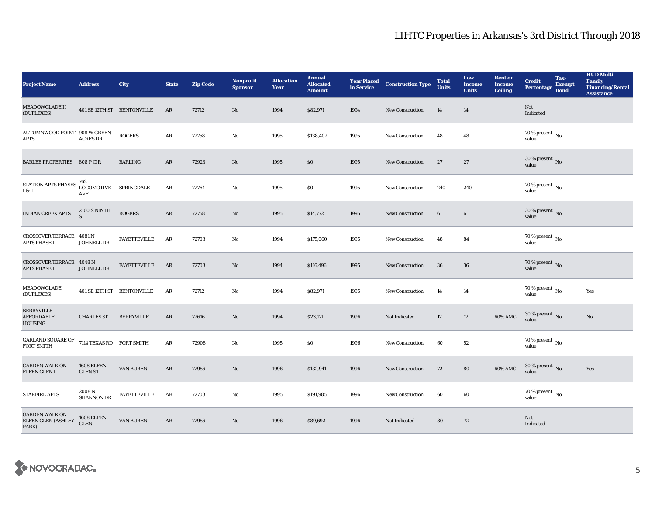| <b>Project Name</b>                                      | <b>Address</b>                      | City                       | <b>State</b> | <b>Zip Code</b> | <b>Nonprofit</b><br><b>Sponsor</b> | <b>Allocation</b><br>Year | <b>Annual</b><br><b>Allocated</b><br><b>Amount</b> |      | <b>Year Placed Construction Type</b><br>in Service | <b>Total</b><br><b>Units</b> | Low<br><b>Income</b><br><b>Units</b> | <b>Rent or</b><br><b>Income</b><br><b>Ceiling</b> | <b>Credit</b><br><b>Percentage</b>   | Tax-<br><b>Exempt</b><br><b>Bond</b> | <b>HUD Multi-</b><br>Family<br><b>Financing/Rental</b><br><b>Assistance</b> |
|----------------------------------------------------------|-------------------------------------|----------------------------|--------------|-----------------|------------------------------------|---------------------------|----------------------------------------------------|------|----------------------------------------------------|------------------------------|--------------------------------------|---------------------------------------------------|--------------------------------------|--------------------------------------|-----------------------------------------------------------------------------|
| MEADOWGLADE II<br>(DUPLEXES)                             |                                     | 401 SE 12TH ST BENTONVILLE | AR           | 72712           | No                                 | 1994                      | \$82,971                                           | 1994 | <b>New Construction</b>                            | 14                           | 14                                   |                                                   | Not<br>Indicated                     |                                      |                                                                             |
| AUTUMNWOOD POINT 908 W GREEN<br>APTS                     | <b>ACRES DR</b>                     | <b>ROGERS</b>              | AR           | 72758           | No                                 | 1995                      | \$138,402                                          | 1995 | <b>New Construction</b>                            | 48                           | 48                                   |                                                   | $70$ % present $\,$ No $\,$<br>value |                                      |                                                                             |
| <b>BARLEE PROPERTIES 808 P CIR</b>                       |                                     | <b>BARLING</b>             | AR           | 72923           | No                                 | 1995                      | $\$0$                                              | 1995 | <b>New Construction</b>                            | 27                           | 27                                   |                                                   | $30$ % present $\,$ No value         |                                      |                                                                             |
| STATION APTS PHASES<br>$\rm I~\&~II$                     | 762<br>LOCOMOTIVE SPRINGDALE<br>AVE |                            | ${\bf AR}$   | 72764           | No                                 | 1995                      | $\$0$                                              | 1995 | <b>New Construction</b>                            | 240                          | 240                                  |                                                   | 70 % present $\,$ No $\,$<br>value   |                                      |                                                                             |
| <b>INDIAN CREEK APTS</b>                                 | <b>2100 S NINTH</b><br><b>ST</b>    | <b>ROGERS</b>              | ${\bf AR}$   | 72758           | $\mathbf{N}\mathbf{o}$             | 1995                      | \$14,772                                           | 1995 | New Construction                                   | $6\phantom{.}$               | $\bf 6$                              |                                                   | 30 % present $\,$ No $\,$<br>value   |                                      |                                                                             |
| CROSSOVER TERRACE 4081 N<br><b>APTS PHASE I</b>          | JOHNELL DR                          | <b>FAYETTEVILLE</b>        | AR           | 72703           | No                                 | 1994                      | \$175,060                                          | 1995 | <b>New Construction</b>                            | 48                           | 84                                   |                                                   | 70 % present $\,$ No $\,$<br>value   |                                      |                                                                             |
| <b>CROSSOVER TERRACE 4048 N</b><br><b>APTS PHASE II</b>  | JOHNELL DR                          | <b>FAYETTEVILLE</b>        | AR           | 72703           | No                                 | 1994                      | \$116,496                                          | 1995 | <b>New Construction</b>                            | 36                           | 36                                   |                                                   | $70$ % present $\,$ No value         |                                      |                                                                             |
| MEADOWGLADE<br>(DUPLEXES)                                |                                     | 401 SE 12TH ST BENTONVILLE | AR           | 72712           | No                                 | 1994                      | \$82,971                                           | 1995 | New Construction                                   | 14                           | 14                                   |                                                   | 70 % present $\hbox{~No}$<br>value   |                                      | Yes                                                                         |
| <b>BERRYVILLE</b><br><b>AFFORDABLE</b><br><b>HOUSING</b> | <b>CHARLES ST</b>                   | <b>BERRYVILLE</b>          | AR           | 72616           | $\mathbf{N}\mathbf{o}$             | 1994                      | \$23,171                                           | 1996 | Not Indicated                                      | 12                           | $12\,$                               | 60% AMGI                                          | $30\,\%$ present $\,$ No value       |                                      | $\rm No$                                                                    |
| GARLAND SQUARE OF<br><b>FORT SMITH</b>                   | 7114 TEXAS RD FORT SMITH            |                            | ${\bf AR}$   | 72908           | No                                 | 1995                      | \$0                                                | 1996 | <b>New Construction</b>                            | 60                           | 52                                   |                                                   | $70$ % present $\,$ No value         |                                      |                                                                             |
| <b>GARDEN WALK ON</b><br>ELFEN GLEN I                    | <b>1608 ELFEN</b><br><b>GLEN ST</b> | VAN BUREN                  | $\rm{AR}$    | 72956           | $\mathbf{N}\mathbf{o}$             | 1996                      | \$132,941                                          | 1996 | New Construction                                   | 72                           | 80                                   | 60% AMGI                                          | $30\,\%$ present $\,$ No value       |                                      | Yes                                                                         |
| <b>STARFIRE APTS</b>                                     | 2008 N<br><b>SHANNON DR</b>         | <b>FAYETTEVILLE</b>        | AR           | 72703           | No                                 | 1995                      | \$191,985                                          | 1996 | New Construction                                   | 60                           | 60                                   |                                                   | $70$ % present $\,$ No $\,$<br>value |                                      |                                                                             |
| <b>GARDEN WALK ON</b><br>ELFEN GLEN (ASHLEY<br>PARK)     | 1608 ELFEN<br><b>GLEN</b>           | VAN BUREN                  | AR           | 72956           | No                                 | 1996                      | \$89,692                                           | 1996 | Not Indicated                                      | 80                           | 72                                   |                                                   | Not<br>Indicated                     |                                      |                                                                             |

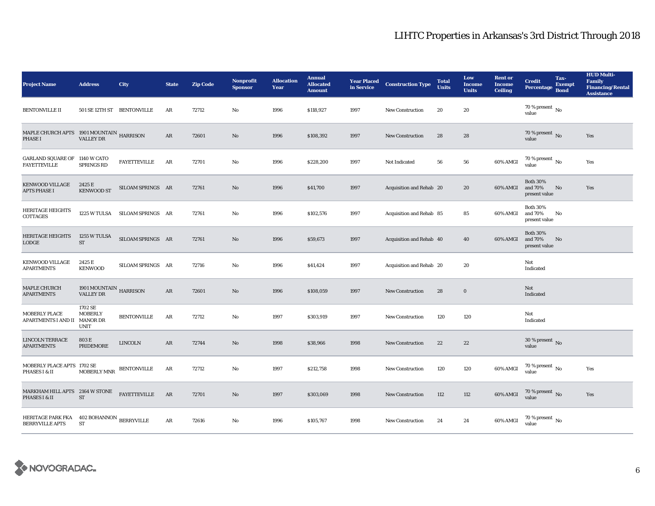| <b>Project Name</b>                                                                                                                    | <b>Address</b>                             | City                           | <b>State</b>  | <b>Zip Code</b> | <b>Nonprofit</b><br><b>Sponsor</b> | <b>Allocation</b><br>Year | <b>Annual</b><br><b>Allocated</b><br><b>Amount</b> | <b>Year Placed<br/>in Service</b> | <b>Construction Type</b> | <b>Total</b><br><b>Units</b> | Low<br><b>Income</b><br><b>Units</b> | <b>Rent or</b><br><b>Income</b><br><b>Ceiling</b> | <b>Credit</b><br><b>Percentage</b>          | Tax-<br><b>Exempt</b><br><b>Bond</b> | <b>HUD Multi-</b><br><b>Family</b><br><b>Financing/Rental</b><br><b>Assistance</b> |
|----------------------------------------------------------------------------------------------------------------------------------------|--------------------------------------------|--------------------------------|---------------|-----------------|------------------------------------|---------------------------|----------------------------------------------------|-----------------------------------|--------------------------|------------------------------|--------------------------------------|---------------------------------------------------|---------------------------------------------|--------------------------------------|------------------------------------------------------------------------------------|
| <b>BENTONVILLE II</b>                                                                                                                  | 501 SE 12TH ST BENTONVILLE                 |                                | AR            | 72712           | No                                 | 1996                      | \$118,927                                          | 1997                              | New Construction         | 20                           | 20                                   |                                                   | 70 % present $\hbox{~No}$<br>value          |                                      |                                                                                    |
| $\begin{array}{lll} \text{MAPLE CHURCH APTS} & \text{1901 MOUNTAIN} & \text{HARRISON} \\ \text{PHASE I} & \text{VALLY DR} \end{array}$ |                                            |                                | $\mathbf{AR}$ | 72601           | $\mathbf{No}$                      | 1996                      | \$108,392                                          | 1997                              | <b>New Construction</b>  | 28                           | 28                                   |                                                   | 70 % present $\overline{N_0}$<br>value      |                                      | Yes                                                                                |
| GARLAND SQUARE OF 1140 W CATO<br><b>FAYETTEVILLE</b>                                                                                   | <b>SPRINGS RD</b>                          | <b>FAYETTEVILLE</b>            | AR            | 72701           | No                                 | 1996                      | \$228,200                                          | 1997                              | Not Indicated            | 56                           | ${\bf 56}$                           | 60% AMGI                                          | $70$ % present $\,$ No value                |                                      | Yes                                                                                |
| <b>KENWOOD VILLAGE</b><br><b>APTS PHASE I</b>                                                                                          | 2425 E<br><b>KENWOOD ST</b>                | SILOAM SPRINGS AR              |               | 72761           | No                                 | 1996                      | \$41,700                                           | 1997                              | Acquisition and Rehab 20 |                              | 20                                   | 60% AMGI                                          | <b>Both 30%</b><br>and 70%<br>present value | No                                   | Yes                                                                                |
| <b>HERITAGE HEIGHTS</b><br>COTTAGES                                                                                                    |                                            | 1225 W TULSA SILOAM SPRINGS AR |               | 72761           | No                                 | 1996                      | \$102,576                                          | 1997                              | Acquisition and Rehab 85 |                              | 85                                   | 60% AMGI                                          | <b>Both 30%</b><br>and 70%<br>present value | No                                   |                                                                                    |
| <b>HERITAGE HEIGHTS</b><br>LODGE                                                                                                       | 1255 W TULSA<br>$\operatorname{ST}$        | SILOAM SPRINGS AR              |               | 72761           | $\mathbf{N}\mathbf{o}$             | 1996                      | \$59,673                                           | 1997                              | Acquisition and Rehab 40 |                              | 40                                   | 60% AMGI                                          | <b>Both 30%</b><br>and 70%<br>present value | No                                   |                                                                                    |
| <b>KENWOOD VILLAGE</b><br><b>APARTMENTS</b>                                                                                            | 2425 E<br><b>KENWOOD</b>                   | SILOAM SPRINGS AR              |               | 72716           | No                                 | 1996                      | \$41,424                                           | 1997                              | Acquisition and Rehab 20 |                              | 20                                   |                                                   | Not<br>Indicated                            |                                      |                                                                                    |
| MAPLE CHURCH<br><b>APARTMENTS</b>                                                                                                      | 1901 MOUNTAIN HARRISON<br><b>VALLEY DR</b> |                                | AR            | 72601           | No                                 | 1996                      | \$108,059                                          | 1997                              | <b>New Construction</b>  | 28                           | $\bf{0}$                             |                                                   | Not<br>Indicated                            |                                      |                                                                                    |
| <b>MOBERLY PLACE</b><br>APARTMENTS I AND II MANOR DR                                                                                   | 1702 SE<br><b>MOBERLY</b><br>UNIT          | <b>BENTONVILLE</b>             | AR            | 72712           | No                                 | 1997                      | \$303,919                                          | 1997                              | <b>New Construction</b>  | 120                          | 120                                  |                                                   | Not<br>Indicated                            |                                      |                                                                                    |
| <b>LINCOLN TERRACE</b><br><b>APARTMENTS</b>                                                                                            | 803 E<br>PRIDEMORE                         | <b>LINCOLN</b>                 | $\rm{AR}$     | 72744           | $\mathbf{No}$                      | 1998                      | \$38,966                                           | 1998                              | New Construction         | $\bf{22}$                    | $22\,$                               |                                                   | $30\,\%$ present $\,$ No value              |                                      |                                                                                    |
| MOBERLY PLACE APTS 1702 SE<br>PHASES I & II                                                                                            | MOBERLY MNR                                | <b>BENTONVILLE</b>             | AR            | 72712           | No                                 | 1997                      | \$212,758                                          | 1998                              | New Construction         | 120                          | 120                                  | 60% AMGI                                          | 70 % present $\,$ No $\,$<br>value          |                                      | Yes                                                                                |
| MARKHAM HILL APTS 2164 W STONE<br>PHASES I & II                                                                                        | ST                                         | <b>FAYETTEVILLE</b>            | AR            | 72701           | $\mathbf{No}$                      | 1997                      | \$303,069                                          | 1998                              | New Construction         | 112                          | 112                                  | 60% AMGI                                          | 70 % present $\,$ No $\,$<br>value          |                                      | Yes                                                                                |
| HERITAGE PARK FKA 402 BOHANNON BERRYVILLE<br><b>BERRYVILLE APTS</b>                                                                    | <b>ST</b>                                  |                                | $\rm{AR}$     | 72616           | No                                 | 1996                      | \$105,767                                          | 1998                              | <b>New Construction</b>  | 24                           | 24                                   | 60% AMGI                                          | 70 % present $\,$ No $\,$<br>value          |                                      |                                                                                    |

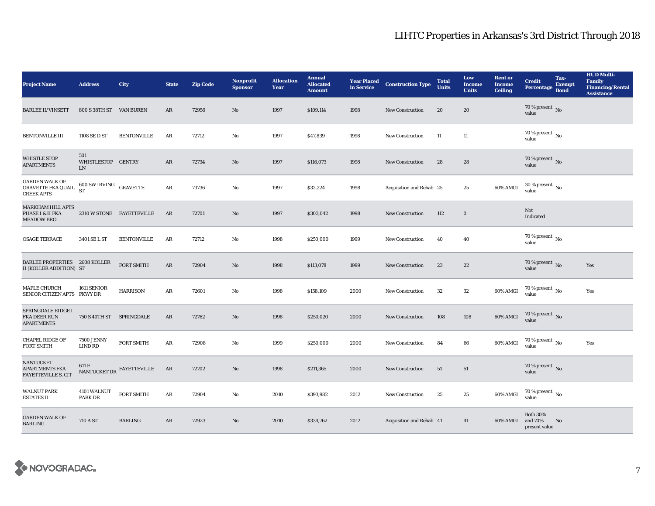| <b>Project Name</b>                                                      | <b>Address</b>                                | City                                          | <b>State</b> | <b>Zip Code</b> | <b>Nonprofit</b><br><b>Sponsor</b> | <b>Allocation</b><br>Year | <b>Annual</b><br><b>Allocated</b><br><b>Amount</b> | in Service | <b>Year Placed Construction Type</b> | <b>Total</b><br><b>Units</b> | Low<br><b>Income</b><br><b>Units</b> | <b>Rent or</b><br><b>Income</b><br><b>Ceiling</b> | <b>Credit</b><br><b>Percentage</b>          | Tax-<br><b>Exempt</b><br><b>Bond</b> | <b>HUD Multi-</b><br><b>Family</b><br><b>Financing/Rental</b><br><b>Assistance</b> |
|--------------------------------------------------------------------------|-----------------------------------------------|-----------------------------------------------|--------------|-----------------|------------------------------------|---------------------------|----------------------------------------------------|------------|--------------------------------------|------------------------------|--------------------------------------|---------------------------------------------------|---------------------------------------------|--------------------------------------|------------------------------------------------------------------------------------|
| <b>BARLEE II/VINSETT</b>                                                 | 800 S 38TH ST VAN BUREN                       |                                               | AR           | 72956           | $\mathbf{N}\mathbf{o}$             | 1997                      | \$109,114                                          | 1998       | <b>New Construction</b>              | 20                           | 20                                   |                                                   | 70 % present $\,$ No $\,$<br>value          |                                      |                                                                                    |
| <b>BENTONVILLE III</b>                                                   | 1108 SE D ST                                  | <b>BENTONVILLE</b>                            | $\rm{AR}$    | 72712           | $\mathbf{No}$                      | 1997                      | \$47,839                                           | 1998       | <b>New Construction</b>              | $11\,$                       | 11                                   |                                                   | $70$ % present $\,$ No $\,$<br>value        |                                      |                                                                                    |
| <b>WHISTLE STOP</b><br><b>APARTMENTS</b>                                 | 501<br>WHISTLESTOP GENTRY<br>${\rm LN}$       |                                               | AR           | 72734           | No                                 | 1997                      | \$116,073                                          | 1998       | <b>New Construction</b>              | 28                           | 28                                   |                                                   | $70$ % present $\,$ No value                |                                      |                                                                                    |
| <b>GARDEN WALK OF</b><br>${\tt GRAVETTE}$ FKA QUAIL<br><b>CREEK APTS</b> | $600$ SW IRVING $\quad$ GRAVETTE<br><b>ST</b> |                                               | ${\bf AR}$   | 73736           | No                                 | 1997                      | \$32,224                                           | 1998       | Acquisition and Rehab 25             |                              | $\bf 25$                             | 60% AMGI                                          | $30$ % present $\,$ No $\,$<br>value        |                                      |                                                                                    |
| <b>MARKHAM HILL APTS</b><br>PHASE I & II FKA<br><b>MEADOW BRO</b>        |                                               | 2310 W STONE FAYETTEVILLE                     | AR           | 72701           | No                                 | 1997                      | \$303,042                                          | 1998       | <b>New Construction</b>              | 112                          | $\mathbf 0$                          |                                                   | Not<br>Indicated                            |                                      |                                                                                    |
| <b>OSAGE TERRACE</b>                                                     | 3401 SE L ST                                  | <b>BENTONVILLE</b>                            | AR           | 72712           | No                                 | 1998                      | \$250,000                                          | 1999       | <b>New Construction</b>              | 40                           | 40                                   |                                                   | 70 % present $\,$ No $\,$<br>value          |                                      |                                                                                    |
| <b>BARLEE PROPERTIES 2608 KOLLER</b><br>II (KOLLER ADDITION) ST          |                                               | <b>FORT SMITH</b>                             | AR           | 72904           | No                                 | 1998                      | \$113,078                                          | 1999       | <b>New Construction</b>              | 23                           | $22\,$                               |                                                   | 70 % present $\,$ No $\,$<br>value          |                                      | Yes                                                                                |
| MAPLE CHURCH<br>SENIOR CITIZEN APTS PKWY DR                              | 1611 SENIOR                                   | <b>HARRISON</b>                               | AR           | 72601           | No                                 | 1998                      | \$158,109                                          | 2000       | <b>New Construction</b>              | $32\,$                       | ${\bf 32}$                           | 60% AMGI                                          | 70 % present $\,$ No $\,$<br>value          |                                      | Yes                                                                                |
| SPRINGDALE RIDGE I<br>FKA DEER RUN<br><b>APARTMENTS</b>                  | 750 S 40TH ST SPRINGDALE                      |                                               | AR           | 72762           | $\mathbf{N}\mathbf{o}$             | 1998                      | \$250,020                                          | 2000       | <b>New Construction</b>              | 108                          | 108                                  | 60% AMGI                                          | 70 % present $\hbox{~No}$<br>value          |                                      |                                                                                    |
| <b>CHAPEL RIDGE OF</b><br><b>FORT SMITH</b>                              | <b>7500 JENNY</b><br><b>LIND RD</b>           | <b>FORT SMITH</b>                             | AR           | 72908           | No                                 | 1999                      | \$250,000                                          | 2000       | <b>New Construction</b>              | 84                           | 66                                   | 60% AMGI                                          | 70 % present $\,$ No $\,$<br>value          |                                      | Yes                                                                                |
| NANTUCKET<br>APARTMENTS FKA<br><b>FAYETTEVILLE S. CIT</b>                |                                               | NANTUCKET DR $\overline{\text{FAYETTEVILLE}}$ | AR           | 72702           | $\mathbf{No}$                      | 1998                      | \$211,365                                          | 2000       | New Construction                     | 51                           | 51                                   |                                                   | 70 % present $\hbox{~No}$<br>value          |                                      |                                                                                    |
| <b>WALNUT PARK</b><br><b>ESTATES II</b>                                  | 4101 WALNUT<br><b>PARK DR</b>                 | FORT SMITH                                    | AR           | 72904           | No                                 | 2010                      | \$393,982                                          | 2012       | New Construction                     | 25                           | $\bf 25$                             | 60% AMGI                                          | $70$ % present $\,$ No $\,$<br>value        |                                      |                                                                                    |
| <b>GARDEN WALK OF</b><br><b>BARLING</b>                                  | 710 A ST                                      | <b>BARLING</b>                                | AR           | 72923           | No                                 | 2010                      | \$334,762                                          | 2012       | Acquisition and Rehab 41             |                              | 41                                   | 60% AMGI                                          | <b>Both 30%</b><br>and 70%<br>present value | No                                   |                                                                                    |

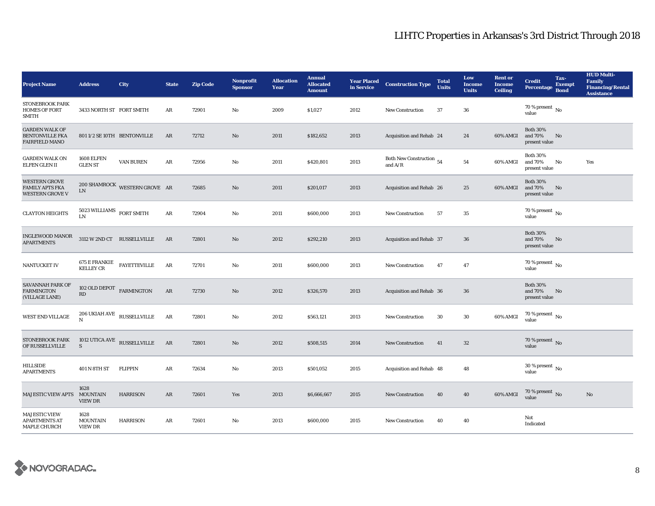| <b>Project Name</b>                                                      | <b>Address</b>                         | City                              | <b>State</b> | <b>Zip Code</b> | <b>Nonprofit</b><br><b>Sponsor</b> | <b>Allocation</b><br>Year | <b>Annual</b><br><b>Allocated</b><br><b>Amount</b> | <b>Year Placed</b><br>in Service | <b>Construction Type</b>              | <b>Total</b><br><b>Units</b> | Low<br><b>Income</b><br><b>Units</b> | <b>Rent or</b><br><b>Income</b><br><b>Ceiling</b> | <b>Credit</b><br><b>Percentage</b>          | Tax-<br><b>Exempt</b><br><b>Bond</b> | <b>HUD Multi-</b><br><b>Family</b><br><b>Financing/Rental</b><br><b>Assistance</b> |
|--------------------------------------------------------------------------|----------------------------------------|-----------------------------------|--------------|-----------------|------------------------------------|---------------------------|----------------------------------------------------|----------------------------------|---------------------------------------|------------------------------|--------------------------------------|---------------------------------------------------|---------------------------------------------|--------------------------------------|------------------------------------------------------------------------------------|
| STONEBROOK PARK<br><b>HOMES OF FORT</b><br><b>SMITH</b>                  | 3433 NORTH ST FORT SMITH               |                                   | AR           | 72901           | No                                 | 2009                      | \$1,027                                            | 2012                             | <b>New Construction</b>               | 37                           | ${\bf 36}$                           |                                                   | 70 % present $\,$ No $\,$<br>value          |                                      |                                                                                    |
| <b>GARDEN WALK OF</b><br><b>BENTONVILLE FKA</b><br><b>FAIRFIELD MANO</b> |                                        | 801 1/2 SE 10TH BENTONVILLE       | AR           | 72712           | $\mathbf{N}\mathbf{o}$             | 2011                      | \$182,652                                          | 2013                             | Acquisition and Rehab 24              |                              | 24                                   | 60% AMGI                                          | <b>Both 30%</b><br>and 70%<br>present value | No                                   |                                                                                    |
| <b>GARDEN WALK ON</b><br>ELFEN GLEN II                                   | 1608 ELFEN<br><b>GLEN ST</b>           | VAN BUREN                         | ${\bf AR}$   | 72956           | $\rm No$                           | 2011                      | \$420,801                                          | 2013                             | Both New Construction 54<br>and $A/R$ |                              | ${\bf 54}$                           | 60% AMGI                                          | <b>Both 30%</b><br>and 70%<br>present value | No                                   | Yes                                                                                |
| WESTERN GROVE<br><b>FAMILY APTS FKA</b><br><b>WESTERN GROVE V</b>        | ${\rm LN}$                             | 200 SHAMROCK WESTERN GROVE AR     |              | 72685           | $\mathbf{No}$                      | 2011                      | \$201,017                                          | 2013                             | Acquisition and Rehab 26              |                              | 25                                   | 60% AMGI                                          | <b>Both 30%</b><br>and 70%<br>present value | No                                   |                                                                                    |
| <b>CLAYTON HEIGHTS</b>                                                   | $5023$ WILLIAMS $\,$ FORT SMITH LN     |                                   | $\rm{AR}$    | 72904           | $\mathbf{N}\mathbf{o}$             | 2011                      | \$600,000                                          | 2013                             | New Construction                      | 57                           | $\bf 35$                             |                                                   | 70 % present $\hbox{~No}$<br>value          |                                      |                                                                                    |
| <b>INGLEWOOD MANOR</b><br><b>APARTMENTS</b>                              |                                        | 3112 W 2ND CT RUSSELLVILLE        | AR           | 72801           | $\mathbf{N}\mathbf{o}$             | 2012                      | \$292,210                                          | 2013                             | Acquisition and Rehab 37              |                              | 36                                   |                                                   | <b>Both 30%</b><br>and 70%<br>present value | No                                   |                                                                                    |
| NANTUCKET IV                                                             | <b>KELLEY CR</b>                       | 675 E FRANKIE FAYETTEVILLE        | AR           | 72701           | No                                 | 2011                      | \$600,000                                          | 2013                             | <b>New Construction</b>               | 47                           | 47                                   |                                                   | 70 % present $\,$ No $\,$<br>value          |                                      |                                                                                    |
| SAVANNAH PARK OF<br><b>FARMINGTON</b><br>(VILLAGE LANE)                  | 102 OLD DEPOT $$\sf FARMINGTON$$<br>RD |                                   | $\rm{AR}$    | 72730           | $\mathbf{N}\mathbf{o}$             | 2012                      | \$326,570                                          | 2013                             | Acquisition and Rehab 36              |                              | 36                                   |                                                   | <b>Both 30%</b><br>and 70%<br>present value | No                                   |                                                                                    |
| <b>WEST END VILLAGE</b>                                                  | N                                      | $206$ UKIAH AVE $\,$ RUSSELLVILLE | AR           | 72801           | $\rm No$                           | 2012                      | \$563,121                                          | 2013                             | <b>New Construction</b>               | 30                           | $\bf{30}$                            | 60% AMGI                                          | $70$ % present $_{\, \rm No}$<br>value      |                                      |                                                                                    |
| <b>STONEBROOK PARK</b><br>OF RUSSELLVILLE                                | S                                      | 1012 UTICA AVE $\,$ RUSSELLVILLE  | AR           | 72801           | $\mathbf{No}$                      | 2012                      | \$508,515                                          | 2014                             | New Construction                      | 41                           | $32\,$                               |                                                   | 70 % present $\,$ No $\,$<br>value          |                                      |                                                                                    |
| HILLSIDE<br><b>APARTMENTS</b>                                            | 401 N 8TH ST                           | FLIPPIN                           | AR           | 72634           | $\mathbf{No}$                      | 2013                      | \$501,052                                          | 2015                             | Acquisition and Rehab 48              |                              | 48                                   |                                                   | $30\,\%$ present $_{\, \rm No}$<br>value    |                                      |                                                                                    |
| MAJESTIC VIEW APTS MOUNTAIN                                              | 1628<br>VIEW DR                        | <b>HARRISON</b>                   | AR           | 72601           | Yes                                | 2013                      | \$6,666,667                                        | 2015                             | New Construction                      | 40                           | 40                                   | 60% AMGI                                          | $70\,\%$ present $\,$ No value              |                                      | $\mathbf{No}$                                                                      |
| MAJESTIC VIEW<br><b>APARTMENTS AT</b><br>MAPLE CHURCH                    | 1628<br><b>MOUNTAIN</b><br>VIEW DR     | <b>HARRISON</b>                   | AR           | 72601           | No                                 | 2013                      | \$600,000                                          | 2015                             | <b>New Construction</b>               | 40                           | 40                                   |                                                   | Not<br>Indicated                            |                                      |                                                                                    |

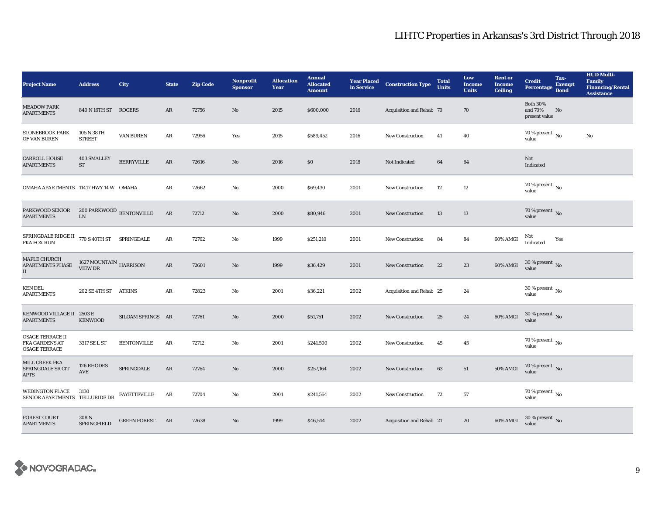| <b>Project Name</b>                                                                                  | <b>Address</b>                                       | City                | <b>State</b>  | <b>Zip Code</b> | <b>Nonprofit</b><br><b>Sponsor</b> | <b>Allocation</b><br>Year | <b>Annual</b><br><b>Allocated</b><br><b>Amount</b> |      | <b>Year Placed Construction Type</b><br>in Service | <b>Total</b><br><b>Units</b> | Low<br><b>Income</b><br><b>Units</b> | <b>Rent or</b><br><b>Income</b><br><b>Ceiling</b> | <b>Credit</b><br>Percentage                 | Tax-<br><b>Exempt</b><br><b>Bond</b> | <b>HUD Multi-</b><br>Family<br><b>Financing/Rental</b><br><b>Assistance</b> |
|------------------------------------------------------------------------------------------------------|------------------------------------------------------|---------------------|---------------|-----------------|------------------------------------|---------------------------|----------------------------------------------------|------|----------------------------------------------------|------------------------------|--------------------------------------|---------------------------------------------------|---------------------------------------------|--------------------------------------|-----------------------------------------------------------------------------|
| <b>MEADOW PARK</b><br><b>APARTMENTS</b>                                                              | 840 N 16TH ST ROGERS                                 |                     | AR            | 72756           | $\mathbf{N}\mathbf{o}$             | 2015                      | \$600,000                                          | 2016 | Acquisition and Rehab 70                           |                              | 70                                   |                                                   | <b>Both 30%</b><br>and 70%<br>present value | No                                   |                                                                             |
| STONEBROOK PARK<br>OF VAN BUREN                                                                      | 105 N 38TH<br><b>STREET</b>                          | VAN BUREN           | AR            | 72956           | Yes                                | 2015                      | \$589,452                                          | 2016 | New Construction                                   | 41                           | 40                                   |                                                   | 70 % present $\,$ No $\,$<br>value          |                                      | No                                                                          |
| <b>CARROLL HOUSE</b><br><b>APARTMENTS</b>                                                            | 403 SMALLEY<br>$\operatorname{ST}$                   | <b>BERRYVILLE</b>   | AR            | 72616           | No                                 | 2016                      | \$0                                                | 2018 | Not Indicated                                      | 64                           | 64                                   |                                                   | Not<br>Indicated                            |                                      |                                                                             |
| OMAHA APARTMENTS 11417 HWY 14 W OMAHA                                                                |                                                      |                     | AR            | 72662           | No                                 | 2000                      | \$69,430                                           | 2001 | New Construction                                   | $12\phantom{.0}$             | $12\,$                               |                                                   | 70 % present $\,$ No $\,$<br>value          |                                      |                                                                             |
| PARKWOOD SENIOR<br><b>APARTMENTS</b>                                                                 | $200$ PARKWOOD $\,$ BENTONVILLE LN                   |                     | $\mathbf{AR}$ | 72712           | $\mathbf{N}\mathbf{o}$             | 2000                      | \$80,946                                           | 2001 | New Construction                                   | 13                           | 13                                   |                                                   | 70 % present $\,$ No $\,$<br>value          |                                      |                                                                             |
| ${\tt SPRINGDALE\,RIDGE\,II} \quad 770\,S\,40TH\,ST \quad \  {\tt SPRINGDALE}$<br><b>FKA FOX RUN</b> |                                                      |                     | AR            | 72762           | No                                 | 1999                      | \$251,210                                          | 2001 | <b>New Construction</b>                            | 84                           | 84                                   | 60% AMGI                                          | Not<br>Indicated                            | Yes                                  |                                                                             |
| MAPLE CHURCH<br><b>APARTMENTS PHASE</b><br>$\rm II$                                                  | 1627 MOUNTAIN $_{\mbox{HARRISON}}$<br><b>VIEW DR</b> |                     | AR            | 72601           | $\mathbf{N}\mathbf{o}$             | 1999                      | \$36,429                                           | 2001 | <b>New Construction</b>                            | 22                           | 23                                   | 60% AMGI                                          | $30$ % present $\,$ No $\,$<br>value        |                                      |                                                                             |
| <b>KEN DEL</b><br><b>APARTMENTS</b>                                                                  | 202 SE 4TH ST ATKINS                                 |                     | AR            | 72823           | No                                 | 2001                      | \$36,221                                           | 2002 | Acquisition and Rehab 25                           |                              | 24                                   |                                                   | $30\,\%$ present $\,$ No $\,$<br>value      |                                      |                                                                             |
| KENWOOD VILLAGE II 2503 E<br><b>APARTMENTS</b>                                                       | <b>KENWOOD</b>                                       | SILOAM SPRINGS AR   |               | 72761           | $\mathbf{N}\mathbf{o}$             | 2000                      | \$51,751                                           | 2002 | <b>New Construction</b>                            | 25                           | 24                                   | 60% AMGI                                          | $30\,\%$ present $\,$ No $\,$<br>value      |                                      |                                                                             |
| <b>OSAGE TERRACE II</b><br><b>FKA GARDENS AT</b><br><b>OSAGE TERRACE</b>                             | 3317 SE L ST                                         | <b>BENTONVILLE</b>  | AR            | 72712           | No                                 | 2001                      | \$241,500                                          | 2002 | <b>New Construction</b>                            | 45                           | 45                                   |                                                   | 70 % present $\,$ No $\,$<br>value          |                                      |                                                                             |
| MILL CREEK FKA<br>SPRINGDALE SR CIT<br><b>APTS</b>                                                   | 126 RHODES<br>$\operatorname{AVE}$                   | SPRINGDALE          | $\mathbf{AR}$ | 72764           | $\mathbf{N}\mathbf{o}$             | 2000                      | \$257,164                                          | 2002 | New Construction                                   | 63                           | ${\bf 51}$                           | 50% AMGI                                          | $70\,\%$ present $\,$ No value              |                                      |                                                                             |
| <b>WEDINGTON PLACE</b><br>SENIOR APARTMENTS TELLURIDE DR                                             | 3130                                                 | FAYETTEVILLE        | AR            | 72704           | $\mathbf{No}$                      | 2001                      | \$241,564                                          | 2002 | New Construction                                   | 72                           | 57                                   |                                                   | 70 % present $\,$ No $\,$<br>value          |                                      |                                                                             |
| <b>FOREST COURT</b><br><b>APARTMENTS</b>                                                             | 208 N<br><b>SPRINGFIELD</b>                          | <b>GREEN FOREST</b> | AR            | 72638           | No                                 | 1999                      | \$46,544                                           | 2002 | Acquisition and Rehab 21                           |                              | 20                                   | 60% AMGI                                          | $30\,\%$ present $\,$ No $\,$<br>value      |                                      |                                                                             |

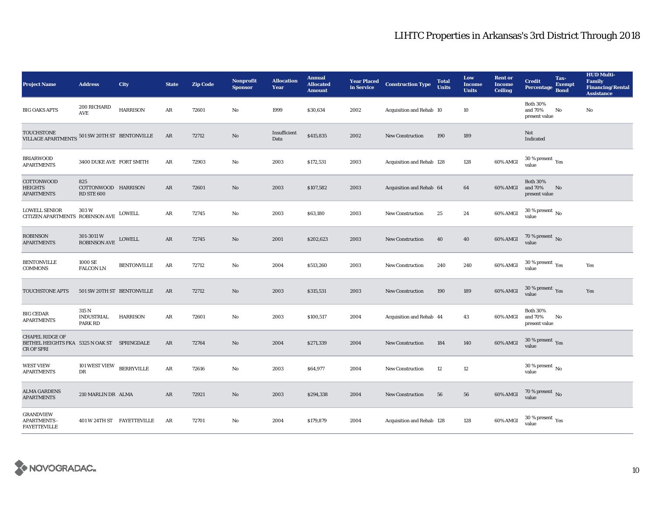| <b>Project Name</b>                                                                 | <b>Address</b>                                  | City                       | <b>State</b> | <b>Zip Code</b> | <b>Nonprofit</b><br><b>Sponsor</b> | <b>Allocation</b><br>Year | <b>Annual</b><br><b>Allocated</b><br><b>Amount</b> | <b>Year Placed</b><br>in Service | <b>Construction Type</b>  | <b>Total</b><br><b>Units</b> | Low<br><b>Income</b><br><b>Units</b> | <b>Rent or</b><br><b>Income</b><br><b>Ceiling</b> | <b>Credit</b><br><b>Percentage</b>              | Tax-<br><b>Exempt</b><br><b>Bond</b> | <b>HUD Multi-</b><br><b>Family</b><br><b>Financing/Rental</b><br><b>Assistance</b> |
|-------------------------------------------------------------------------------------|-------------------------------------------------|----------------------------|--------------|-----------------|------------------------------------|---------------------------|----------------------------------------------------|----------------------------------|---------------------------|------------------------------|--------------------------------------|---------------------------------------------------|-------------------------------------------------|--------------------------------------|------------------------------------------------------------------------------------|
| <b>BIG OAKS APTS</b>                                                                | 200 RICHARD<br><b>AVE</b>                       | <b>HARRISON</b>            | AR           | 72601           | No                                 | 1999                      | \$30,634                                           | 2002                             | Acquisition and Rehab 10  |                              | 10                                   |                                                   | <b>Both 30%</b><br>and 70%<br>present value     | No                                   | No                                                                                 |
| <b>TOUCHSTONE</b><br>VILLAGE APARTMENTS 501 SW 20TH ST BENTONVILLE                  |                                                 |                            | AR           | 72712           | No                                 | Insufficient<br>Data      | \$415,835                                          | 2002                             | <b>New Construction</b>   | 190                          | 189                                  |                                                   | Not<br>Indicated                                |                                      |                                                                                    |
| <b>BRIARWOOD</b><br><b>APARTMENTS</b>                                               | 3400 DUKE AVE FORT SMITH                        |                            | $\rm{AR}$    | 72903           | $\rm No$                           | 2003                      | \$172,531                                          | 2003                             | Acquisition and Rehab 128 |                              | 128                                  | 60% AMGI                                          | $30\,\%$ present $\,$ Yes value                 |                                      |                                                                                    |
| COTTONWOOD<br><b>HEIGHTS</b><br><b>APARTMENTS</b>                                   | 825<br>COTTONWOOD HARRISON<br><b>RD STE 600</b> |                            | $\rm{AR}$    | 72601           | $\mathbf{N}\mathbf{o}$             | 2003                      | \$107,582                                          | 2003                             | Acquisition and Rehab 64  |                              | 64                                   | 60% AMGI                                          | <b>Both 30%</b><br>and 70%<br>present value     | No                                   |                                                                                    |
| <b>LOWELL SENIOR</b><br>CITIZEN APARTMENTS ROBINSON AVE                             | 303W                                            | <b>LOWELL</b>              | $\rm{AR}$    | 72745           | No                                 | 2003                      | \$63,180                                           | 2003                             | New Construction          | 25                           | 24                                   | 60% AMGI                                          | $30$ % present $\,$ No $\,$<br>value            |                                      |                                                                                    |
| <b>ROBINSON</b><br><b>APARTMENTS</b>                                                | 301-3011 W<br>ROBINSON AVE                      | ${\rm LOWELL}$             | AR           | 72745           | $\mathbf{N}\mathbf{o}$             | 2001                      | \$202,623                                          | 2003                             | <b>New Construction</b>   | 40                           | 40                                   | 60% AMGI                                          | $70$ % present $\,$ No value                    |                                      |                                                                                    |
| <b>BENTONVILLE</b><br><b>COMMONS</b>                                                | 1000 SE<br><b>FALCON LN</b>                     | <b>BENTONVILLE</b>         | $\rm{AR}$    | 72712           | No                                 | 2004                      | \$513,260                                          | 2003                             | New Construction          | 240                          | 240                                  | 60% AMGI                                          | $30\,\%$ present $\rm\thinspace_{Yes}$<br>value |                                      | Yes                                                                                |
| TOUCHSTONE APTS                                                                     | 501 SW 20TH ST BENTONVILLE                      |                            | AR           | 72712           | No                                 | 2003                      | \$315,531                                          | 2003                             | New Construction          | 190                          | 189                                  | 60% AMGI                                          | $30\,\%$ present $\,$ $\rm Yes$<br>value        |                                      | Yes                                                                                |
| <b>BIG CEDAR</b><br><b>APARTMENTS</b>                                               | 315 N<br><b>INDUSTRIAL</b><br>PARK RD           | HARRISON                   | AR           | 72601           | $\mathbf{N}\mathbf{o}$             | 2003                      | \$100,517                                          | 2004                             | Acquisition and Rehab 44  |                              | 43                                   | 60% AMGI                                          | <b>Both 30%</b><br>and 70%<br>present value     | No                                   |                                                                                    |
| <b>CHAPEL RIDGE OF</b><br>BETHEL HEIGHTS FKA 5325 N OAK ST SPRINGDALE<br>CR OF SPRI |                                                 |                            | $\rm{AR}$    | 72764           | $\mathbf{N}\mathbf{o}$             | 2004                      | \$271,339                                          | 2004                             | New Construction          | 184                          | 140                                  | 60% AMGI                                          | 30 % present $\sqrt{\gamma_{\rm PS}}$<br>value  |                                      |                                                                                    |
| <b>WEST VIEW</b><br><b>APARTMENTS</b>                                               | 101 WEST VIEW BERRYVILLE<br>DR                  |                            | ${\bf AR}$   | 72616           | No                                 | 2003                      | \$64,977                                           | 2004                             | <b>New Construction</b>   | $12\,$                       | $12\,$                               |                                                   | $30$ % present $\,$ No $\,$<br>value            |                                      |                                                                                    |
| <b>ALMA GARDENS</b><br><b>APARTMENTS</b>                                            | 210 MARLIN DR ALMA                              |                            | AR           | 72921           | No                                 | 2003                      | \$294,338                                          | 2004                             | <b>New Construction</b>   | 56                           | 56                                   | 60% AMGI                                          | $70\,\%$ present $\,$ No value                  |                                      |                                                                                    |
| <b>GRANDVIEW</b><br><b>APARTMENTS</b><br><b>FAYETTEVILLE</b>                        |                                                 | 401 W 24TH ST FAYETTEVILLE | AR           | 72701           | No                                 | 2004                      | \$179,879                                          | 2004                             | Acquisition and Rehab 128 |                              | 128                                  | 60% AMGI                                          | $30$ % present $\,$ $\rm Yes$<br>value          |                                      |                                                                                    |